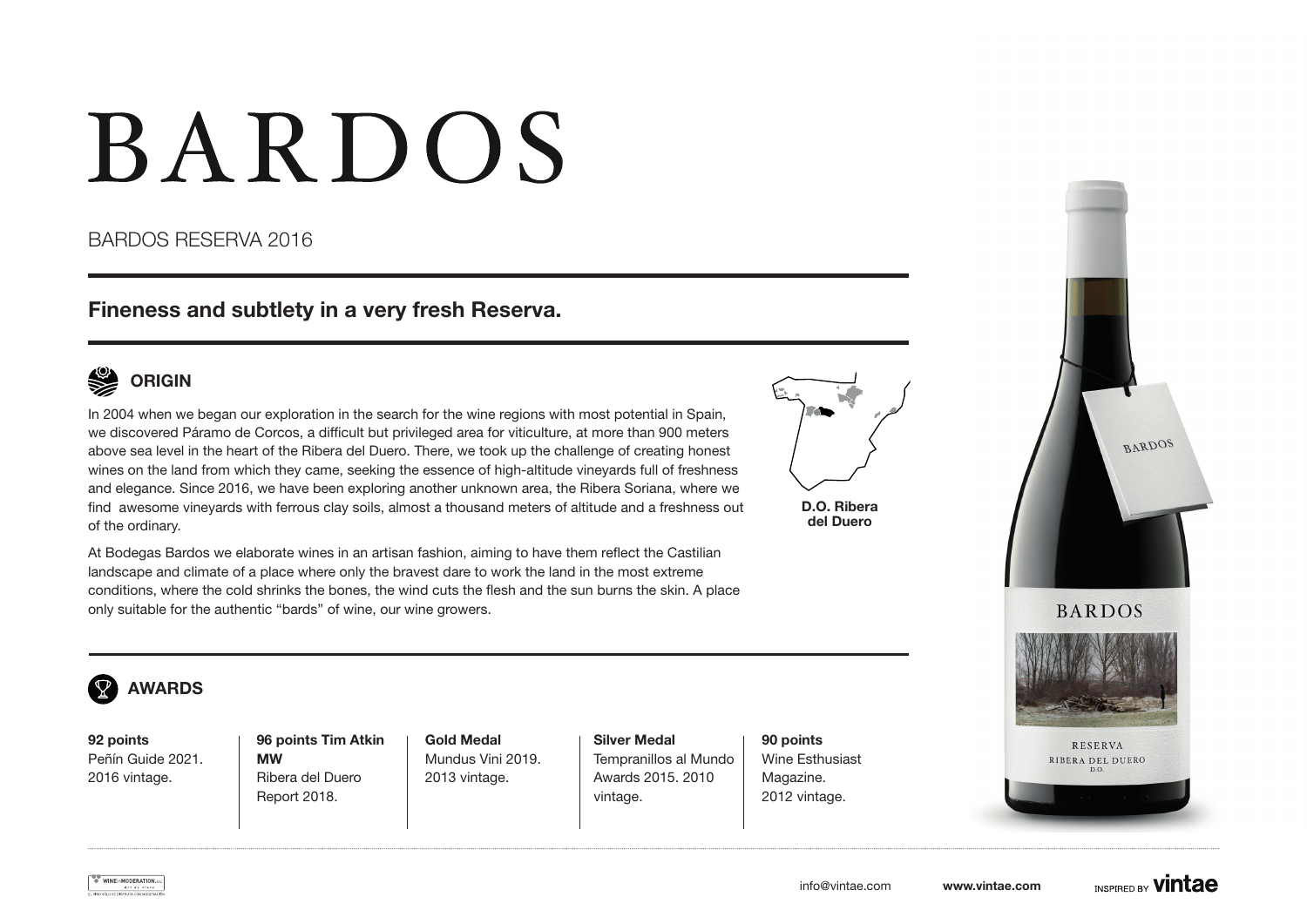# **BARDOS**

### BARDOS RESERVA 2016

## Fineness and subtlety in a very fresh Reserva.



In 2004 when we began our exploration in the search for the wine regions with most potential in Spain, we discovered Páramo de Corcos, a difficult but privileged area for viticulture, at more than 900 meters above sea level in the heart of the Ribera del Duero. There, we took up the challenge of creating honest wines on the land from which they came, seeking the essence of high-altitude vineyards full of freshness and elegance. Since 2016, we have been exploring another unknown area, the Ribera Soriana, where we find awesome vineyards with ferrous clay soils, almost a thousand meters of altitude and a freshness out of the ordinary.

D.O. Ribera del Duero

At Bodegas Bardos we elaborate wines in an artisan fashion, aiming to have them reflect the Castilian landscape and climate of a place where only the bravest dare to work the land in the most extreme conditions, where the cold shrinks the bones, the wind cuts the flesh and the sun burns the skin. A place only suitable for the authentic "bards" of wine, our wine growers.





92 points Peñín Guide 2021. 2016 vintage.

96 points Tim Atkin MW Ribera del Duero Report 2018.

Gold Medal Mundus Vini 2019. 2013 vintage.

Silver Medal Tempranillos al Mundo Awards 2015. 2010 vintage.

90 points Wine Esthusiast Magazine. 2012 vintage.